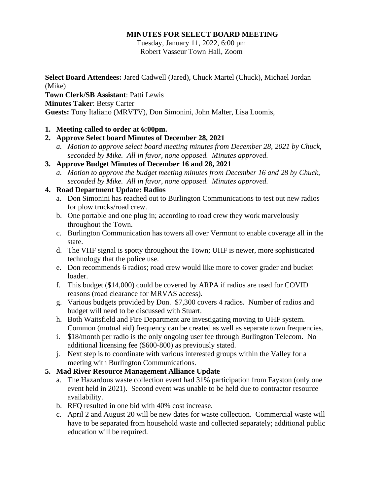### **MINUTES FOR SELECT BOARD MEETING**

Tuesday, January 11, 2022, 6:00 pm Robert Vasseur Town Hall, Zoom

**Select Board Attendees:** Jared Cadwell (Jared), Chuck Martel (Chuck), Michael Jordan (Mike) **Town Clerk/SB Assistant**: Patti Lewis **Minutes Taker**: Betsy Carter

**Guests:** Tony Italiano (MRVTV), Don Simonini, John Malter, Lisa Loomis,

### **1. Meeting called to order at 6:00pm.**

# **2. Approve Select board Minutes of December 28, 2021**

*a. Motion to approve select board meeting minutes from December 28, 2021 by Chuck, seconded by Mike. All in favor, none opposed. Minutes approved.* 

### **3. Approve Budget Minutes of December 16 and 28, 2021**

*a. Motion to approve the budget meeting minutes from December 16 and 28 by Chuck, seconded by Mike. All in favor, none opposed. Minutes approved.* 

# **4. Road Department Update: Radios**

- a. Don Simonini has reached out to Burlington Communications to test out new radios for plow trucks/road crew.
- b. One portable and one plug in; according to road crew they work marvelously throughout the Town.
- c. Burlington Communication has towers all over Vermont to enable coverage all in the state.
- d. The VHF signal is spotty throughout the Town; UHF is newer, more sophisticated technology that the police use.
- e. Don recommends 6 radios; road crew would like more to cover grader and bucket loader.
- f. This budget (\$14,000) could be covered by ARPA if radios are used for COVID reasons (road clearance for MRVAS access).
- g. Various budgets provided by Don. \$7,300 covers 4 radios. Number of radios and budget will need to be discussed with Stuart.
- h. Both Waitsfield and Fire Department are investigating moving to UHF system. Common (mutual aid) frequency can be created as well as separate town frequencies.
- i. \$18/month per radio is the only ongoing user fee through Burlington Telecom. No additional licensing fee (\$600-800) as previously stated.
- j. Next step is to coordinate with various interested groups within the Valley for a meeting with Burlington Communications.

### **5. Mad River Resource Management Alliance Update**

- a. The Hazardous waste collection event had 31% participation from Fayston (only one event held in 2021). Second event was unable to be held due to contractor resource availability.
- b. RFQ resulted in one bid with 40% cost increase.
- c. April 2 and August 20 will be new dates for waste collection. Commercial waste will have to be separated from household waste and collected separately; additional public education will be required.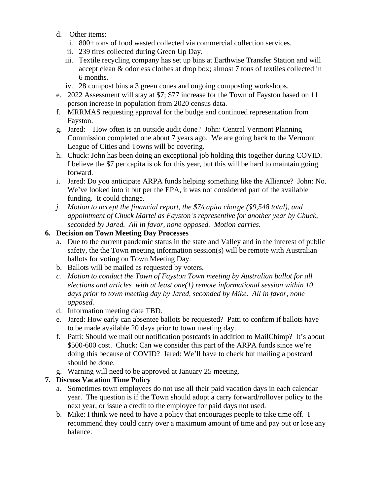- d. Other items:
	- i. 800+ tons of food wasted collected via commercial collection services.
	- ii. 239 tires collected during Green Up Day.
	- iii. Textile recycling company has set up bins at Earthwise Transfer Station and will accept clean & odorless clothes at drop box; almost 7 tons of textiles collected in 6 months.
	- iv. 28 compost bins a 3 green cones and ongoing composting workshops.
- e. 2022 Assessment will stay at \$7; \$77 increase for the Town of Fayston based on 11 person increase in population from 2020 census data.
- f. MRRMAS requesting approval for the budge and continued representation from Fayston.
- g. Jared: How often is an outside audit done? John: Central Vermont Planning Commission completed one about 7 years ago. We are going back to the Vermont League of Cities and Towns will be covering.
- h. Chuck: John has been doing an exceptional job holding this together during COVID. I believe the \$7 per capita is ok for this year, but this will be hard to maintain going forward.
- i. Jared: Do you anticipate ARPA funds helping something like the Alliance? John: No. We've looked into it but per the EPA, it was not considered part of the available funding. It could change.
- *j. Motion to accept the financial report, the \$7/capita charge (\$9,548 total), and appointment of Chuck Martel as Fayston's representive for another year by Chuck, seconded by Jared. All in favor, none opposed. Motion carries.*

# **6. Decision on Town Meeting Day Processes**

- a. Due to the current pandemic status in the state and Valley and in the interest of public safety, the the Town meeting information session(s) will be remote with Australian ballots for voting on Town Meeting Day.
- b. Ballots will be mailed as requested by voters.
- *c. Motion to conduct the Town of Fayston Town meeting by Australian ballot for all elections and articles with at least one(1) remote informational session within 10 days prior to town meeting day by Jared, seconded by Mike. All in favor, none opposed.*
- d. Information meeting date TBD.
- e. Jared: How early can absentee ballots be requested? Patti to confirm if ballots have to be made available 20 days prior to town meeting day.
- f. Patti: Should we mail out notification postcards in addition to MailChimp? It's about \$500-600 cost. Chuck: Can we consider this part of the ARPA funds since we're doing this because of COVID? Jared: We'll have to check but mailing a postcard should be done.
- g. Warning will need to be approved at January 25 meeting.

### **7. Discuss Vacation Time Policy**

- a. Sometimes town employees do not use all their paid vacation days in each calendar year. The question is if the Town should adopt a carry forward/rollover policy to the next year, or issue a credit to the employee for paid days not used.
- b. Mike: I think we need to have a policy that encourages people to take time off. I recommend they could carry over a maximum amount of time and pay out or lose any balance.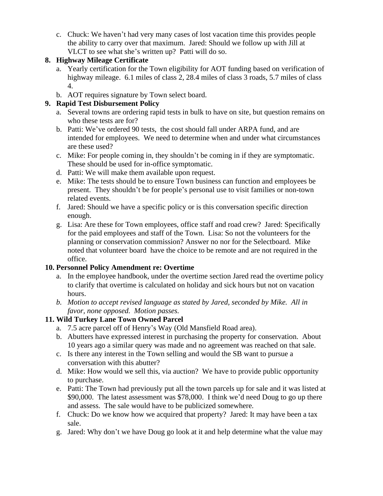c. Chuck: We haven't had very many cases of lost vacation time this provides people the ability to carry over that maximum. Jared: Should we follow up with Jill at VLCT to see what she's written up? Patti will do so.

# **8. Highway Mileage Certificate**

- a. Yearly certification for the Town eligibility for AOT funding based on verification of highway mileage. 6.1 miles of class 2, 28.4 miles of class 3 roads, 5.7 miles of class 4.
- b. AOT requires signature by Town select board.

# **9. Rapid Test Disbursement Policy**

- a. Several towns are ordering rapid tests in bulk to have on site, but question remains on who these tests are for?
- b. Patti: We've ordered 90 tests, the cost should fall under ARPA fund, and are intended for employees. We need to determine when and under what circumstances are these used?
- c. Mike: For people coming in, they shouldn't be coming in if they are symptomatic. These should be used for in-office symptomatic.
- d. Patti: We will make them available upon request.
- e. Mike: The tests should be to ensure Town business can function and employees be present. They shouldn't be for people's personal use to visit families or non-town related events.
- f. Jared: Should we have a specific policy or is this conversation specific direction enough.
- g. Lisa: Are these for Town employees, office staff and road crew? Jared: Specifically for the paid employees and staff of the Town. Lisa: So not the volunteers for the planning or conservation commission? Answer no nor for the Selectboard. Mike noted that volunteer board have the choice to be remote and are not required in the office.

# **10. Personnel Policy Amendment re: Overtime**

- a. In the employee handbook, under the overtime section Jared read the overtime policy to clarify that overtime is calculated on holiday and sick hours but not on vacation hours.
- *b. Motion to accept revised language as stated by Jared, seconded by Mike. All in favor, none opposed. Motion passes.*

# **11. Wild Turkey Lane Town Owned Parcel**

- a. 7.5 acre parcel off of Henry's Way (Old Mansfield Road area).
- b. Abutters have expressed interest in purchasing the property for conservation. About 10 years ago a similar query was made and no agreement was reached on that sale.
- c. Is there any interest in the Town selling and would the SB want to pursue a conversation with this abutter?
- d. Mike: How would we sell this, via auction? We have to provide public opportunity to purchase.
- e. Patti: The Town had previously put all the town parcels up for sale and it was listed at \$90,000. The latest assessment was \$78,000. I think we'd need Doug to go up there and assess. The sale would have to be publicized somewhere.
- f. Chuck: Do we know how we acquired that property? Jared: It may have been a tax sale.
- g. Jared: Why don't we have Doug go look at it and help determine what the value may